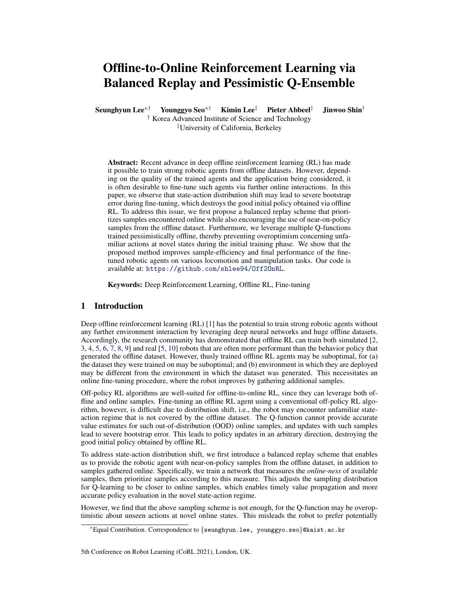# Offline-to-Online Reinforcement Learning via Balanced Replay and Pessimistic Q-Ensemble

Seunghyun Lee<sup>∗†</sup> Younggyo Seo<sup>∗†</sup> Kimin Lee<sup>‡</sup> Pieter Abbeel<sup>‡</sup> Jinwoo Shin<sup>†</sup> † Korea Advanced Institute of Science and Technology

‡University of California, Berkeley

Abstract: Recent advance in deep offline reinforcement learning (RL) has made it possible to train strong robotic agents from offline datasets. However, depending on the quality of the trained agents and the application being considered, it is often desirable to fine-tune such agents via further online interactions. In this paper, we observe that state-action distribution shift may lead to severe bootstrap error during fine-tuning, which destroys the good initial policy obtained via offline RL. To address this issue, we first propose a balanced replay scheme that prioritizes samples encountered online while also encouraging the use of near-on-policy samples from the offline dataset. Furthermore, we leverage multiple Q-functions trained pessimistically offline, thereby preventing overoptimism concerning unfamiliar actions at novel states during the initial training phase. We show that the proposed method improves sample-efficiency and final performance of the finetuned robotic agents on various locomotion and manipulation tasks. Our code is available at: <https://github.com/shlee94/Off2OnRL>.

Keywords: Deep Reinforcement Learning, Offline RL, Fine-tuning

## 1 Introduction

Deep offline reinforcement learning (RL) [1] has the potential to train strong robotic agents without any further environment interaction by leveraging deep neural networks and huge offline datasets. Accordingly, the research community has demonstrated that offline RL can train both simulated [2, 3, 4, 5, 6, 7, 8, 9] and real [5, 10] robots that are often more performant than the behavior policy that generated the offline dataset. However, thusly trained offline RL agents may be suboptimal, for (a) the dataset they were trained on may be suboptimal; and (b) environment in which they are deployed may be different from the environment in which the dataset was generated. This necessitates an online fine-tuning procedure, where the robot improves by gathering additional samples.

Off-policy RL algorithms are well-suited for offline-to-online RL, since they can leverage both offline and online samples. Fine-tuning an offline RL agent using a conventional off-policy RL algorithm, however, is difficult due to distribution shift, i.e., the robot may encounter unfamiliar stateaction regime that is not covered by the offline dataset. The Q-function cannot provide accurate value estimates for such out-of-distribution (OOD) online samples, and updates with such samples lead to severe bootstrap error. This leads to policy updates in an arbitrary direction, destroying the good initial policy obtained by offline RL.

To address state-action distribution shift, we first introduce a balanced replay scheme that enables us to provide the robotic agent with near-on-policy samples from the offline dataset, in addition to samples gathered online. Specifically, we train a network that measures the *online-ness* of available samples, then prioritize samples according to this measure. This adjusts the sampling distribution for Q-learning to be closer to online samples, which enables timely value propagation and more accurate policy evaluation in the novel state-action regime.

However, we find that the above sampling scheme is not enough, for the Q-function may be overoptimistic about unseen actions at novel online states. This misleads the robot to prefer potentially

<sup>∗</sup>Equal Contribution. Correspondence to {seunghyun.lee, younggyo.seo}@kaist.ac.kr

<sup>5</sup>th Conference on Robot Learning (CoRL 2021), London, UK.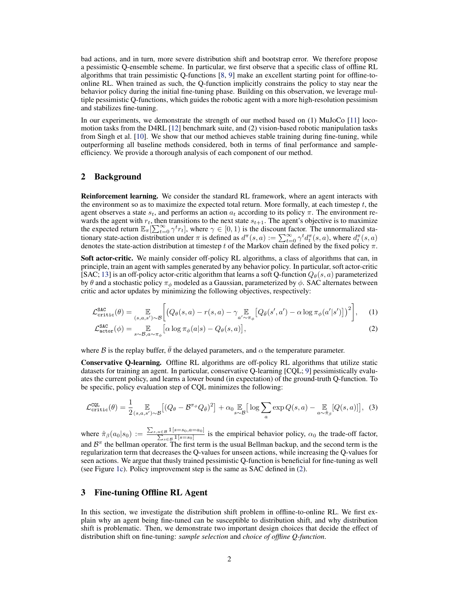bad actions, and in turn, more severe distribution shift and bootstrap error. We therefore propose a pessimistic Q-ensemble scheme. In particular, we first observe that a specific class of offline RL algorithms that train pessimistic Q-functions [8, 9] make an excellent starting point for offline-toonline RL. When trained as such, the Q-function implicitly constrains the policy to stay near the behavior policy during the initial fine-tuning phase. Building on this observation, we leverage multiple pessimistic Q-functions, which guides the robotic agent with a more high-resolution pessimism and stabilizes fine-tuning.

In our experiments, we demonstrate the strength of our method based on (1) MuJoCo [11] locomotion tasks from the D4RL [12] benchmark suite, and (2) vision-based robotic manipulation tasks from Singh et al. [10]. We show that our method achieves stable training during fine-tuning, while outperforming all baseline methods considered, both in terms of final performance and sampleefficiency. We provide a thorough analysis of each component of our method.

## 2 Background

Reinforcement learning. We consider the standard RL framework, where an agent interacts with the environment so as to maximize the expected total return. More formally, at each timestep  $t$ , the agent observes a state  $s_t$ , and performs an action  $a_t$  according to its policy  $\pi$ . The environment rewards the agent with  $r_t$ , then transitions to the next state  $s_{t+1}$ . The agent's objective is to maximize the expected return  $\mathbb{E}_{\pi}[\sum_{t=0}^{\infty} \gamma^{t} r_{t}]$ , where  $\gamma \in [0, 1)$  is the discount factor. The unnormalized stationary state-action distribution under  $\pi$  is defined as  $d^{\pi}(s, a) := \sum_{t=0}^{\infty} \gamma^{t} d^{\pi}_{t}(s, a)$ , where  $d^{\pi}_{t}(s, a)$ denotes the state-action distribution at timestep t of the Markov chain defined by the fixed policy  $\pi$ .

Soft actor-critic. We mainly consider off-policy RL algorithms, a class of algorithms that can, in principle, train an agent with samples generated by any behavior policy. In particular, soft actor-critic [SAC; 13] is an off-policy actor-critic algorithm that learns a soft Q-function  $Q_{\theta}(s, a)$  parameterized by  $\theta$  and a stochastic policy  $\pi_{\phi}$  modeled as a Gaussian, parameterized by  $\phi$ . SAC alternates between critic and actor updates by minimizing the following objectives, respectively:

$$
\mathcal{L}_{\text{critic}}^{\text{SAC}}(\theta) = \mathop{\mathbb{E}}_{(s,a,s') \sim \mathcal{B}} \bigg[ \big( Q_{\theta}(s,a) - r(s,a) - \gamma \mathop{\mathbb{E}}_{a' \sim \pi_{\phi}} \big[ Q_{\bar{\theta}}(s',a') - \alpha \log \pi_{\phi}(a'|s') \big] \big)^2 \bigg], \quad (1)
$$

$$
\mathcal{L}^{\text{SAC}}_{\text{actor}}(\phi) = \mathop{\mathbb{E}}_{s \sim \mathcal{B}, a \sim \pi_{\phi}} \left[ \alpha \log \pi_{\phi}(a|s) - Q_{\theta}(s, a) \right],\tag{2}
$$

where B is the replay buffer,  $\bar{\theta}$  the delayed parameters, and  $\alpha$  the temperature parameter.

Conservative Q-learning. Offline RL algorithms are off-policy RL algorithms that utilize static datasets for training an agent. In particular, conservative Q-learning [CQL; 9] pessimistically evaluates the current policy, and learns a lower bound (in expectation) of the ground-truth Q-function. To be specific, policy evaluation step of CQL minimizes the following:

$$
\mathcal{L}_{\text{critic}}^{\text{CQL}}(\theta) = \frac{1}{2} \mathop{\mathbb{E}}_{(s,a,s') \sim \mathcal{B}} \left[ (Q_{\theta} - \mathcal{B}^{\pi_{\phi}} Q_{\bar{\theta}})^2 \right] + \alpha_0 \mathop{\mathbb{E}}_{s \sim \mathcal{B}} \left[ \log \sum_{a} \exp Q(s,a) - \mathop{\mathbb{E}}_{a \sim \hat{\pi}_{\beta}} [Q(s,a)] \right], \tag{3}
$$

where  $\hat{\pi}_{\beta}(a_0|s_0) := \frac{\sum_{s,a \in \mathcal{B}} 1[s=s_0,a=a_0]}{\sum_{s \in \mathcal{B}} 1[s=s_0]}$  is the empirical behavior policy,  $\alpha_0$  the trade-off factor, and  $B^{\pi}$  the bellman operator. The first term is the usual Bellman backup, and the second term is the regularization term that decreases the Q-values for unseen actions, while increasing the Q-values for seen actions. We argue that thusly trained pessimistic Q-function is beneficial for fine-tuning as well (see Figure 1c). Policy improvement step is the same as SAC defined in (2).

### 3 Fine-tuning Offline RL Agent

In this section, we investigate the distribution shift problem in offline-to-online RL. We first explain why an agent being fine-tuned can be susceptible to distribution shift, and why distribution shift is problematic. Then, we demonstrate two important design choices that decide the effect of distribution shift on fine-tuning: *sample selection* and *choice of offline Q-function*.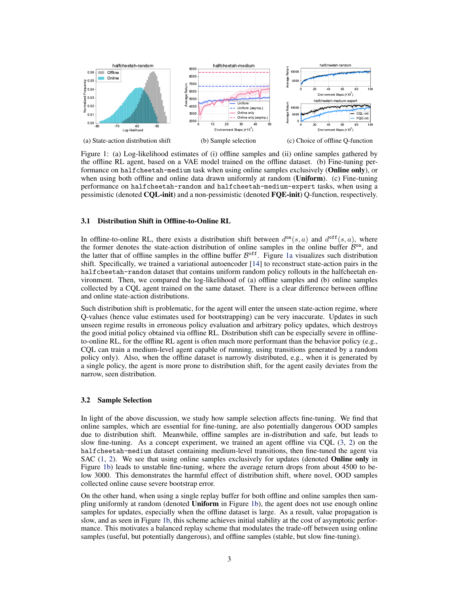

Figure 1: (a) Log-likelihood estimates of (i) offline samples and (ii) online samples gathered by the offline RL agent, based on a VAE model trained on the offline dataset. (b) Fine-tuning performance on halfcheetah-medium task when using online samples exclusively (Online only), or when using both offline and online data drawn uniformly at random (Uniform). (c) Fine-tuning performance on halfcheetah-random and halfcheetah-medium-expert tasks, when using a pessimistic (denoted CQL-init) and a non-pessimistic (denoted FQE-init) Q-function, respectively.

#### 3.1 Distribution Shift in Offline-to-Online RL

In offline-to-online RL, there exists a distribution shift between  $d^{on}(s, a)$  and  $d^{off}(s, a)$ , where the former denotes the state-action distribution of online samples in the online buffer  $\mathcal{B}^{\text{on}}$ , and the latter that of offline samples in the offline buffer  $\mathcal{B}^{\text{off}}$ . Figure 1a visualizes such distribution shift. Specifically, we trained a variational autoencoder [14] to reconstruct state-action pairs in the halfcheetah-random dataset that contains uniform random policy rollouts in the halfcheetah environment. Then, we compared the log-likelihood of (a) offline samples and (b) online samples collected by a CQL agent trained on the same dataset. There is a clear difference between offline and online state-action distributions.

Such distribution shift is problematic, for the agent will enter the unseen state-action regime, where Q-values (hence value estimates used for bootstrapping) can be very inaccurate. Updates in such unseen regime results in erroneous policy evaluation and arbitrary policy updates, which destroys the good initial policy obtained via offline RL. Distribution shift can be especially severe in offlineto-online RL, for the offline RL agent is often much more performant than the behavior policy (e.g., CQL can train a medium-level agent capable of running, using transitions generated by a random policy only). Also, when the offline dataset is narrowly distributed, e.g., when it is generated by a single policy, the agent is more prone to distribution shift, for the agent easily deviates from the narrow, seen distribution.

#### 3.2 Sample Selection

In light of the above discussion, we study how sample selection affects fine-tuning. We find that online samples, which are essential for fine-tuning, are also potentially dangerous OOD samples due to distribution shift. Meanwhile, offline samples are in-distribution and safe, but leads to slow fine-tuning. As a concept experiment, we trained an agent offline via CQL (3, 2) on the halfcheetah-medium dataset containing medium-level transitions, then fine-tuned the agent via SAC  $(1, 2)$ . We see that using online samples exclusively for updates (denoted **Online only** in Figure 1b) leads to unstable fine-tuning, where the average return drops from about 4500 to below 3000. This demonstrates the harmful effect of distribution shift, where novel, OOD samples collected online cause severe bootstrap error.

On the other hand, when using a single replay buffer for both offline and online samples then sampling uniformly at random (denoted Uniform in Figure 1b), the agent does not use enough online samples for updates, especially when the offline dataset is large. As a result, value propagation is slow, and as seen in Figure 1b, this scheme achieves initial stability at the cost of asymptotic performance. This motivates a balanced replay scheme that modulates the trade-off between using online samples (useful, but potentially dangerous), and offline samples (stable, but slow fine-tuning).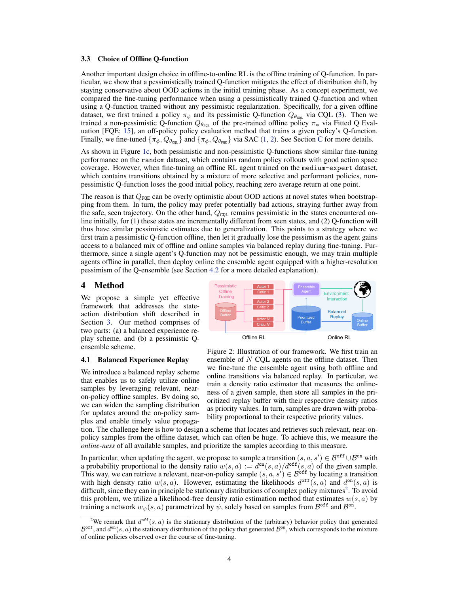#### 3.3 Choice of Offline Q-function

Another important design choice in offline-to-online RL is the offline training of Q-function. In particular, we show that a pessimistically trained Q-function mitigates the effect of distribution shift, by staying conservative about OOD actions in the initial training phase. As a concept experiment, we compared the fine-tuning performance when using a pessimistically trained Q-function and when using a Q-function trained without any pessimistic regularization. Specifically, for a given offline dataset, we first trained a policy  $\pi_{\phi}$  and its pessimistic Q-function  $Q_{\theta_{\text{cQL}}}$  via CQL (3). Then we trained a non-pessimistic Q-function  $Q_{\theta_{\text{PQE}}}$  of the pre-trained offline policy  $\pi_{\phi}$  via Fitted Q Evaluation [FQE; 15], an off-policy policy evaluation method that trains a given policy's Q-function. Finally, we fine-tuned  $\{\pi_{\phi}, Q_{\theta_{\text{cQL}}} \}$  and  $\{\pi_{\phi}, Q_{\theta_{\text{rQE}}} \}$  via SAC (1, 2). See Section C for more details.

As shown in Figure 1c, both pessimistic and non-pessimistic Q-functions show similar fine-tuning performance on the random dataset, which contains random policy rollouts with good action space coverage. However, when fine-tuning an offline RL agent trained on the medium-expert dataset, which contains transitions obtained by a mixture of more selective and performant policies, nonpessimistic Q-function loses the good initial policy, reaching zero average return at one point.

The reason is that  $Q_{\text{FQE}}$  can be overly optimistic about OOD actions at novel states when bootstrapping from them. In turn, the policy may prefer potentially bad actions, straying further away from the safe, seen trajectory. On the other hand,  $Q_{\text{COL}}$  remains pessimistic in the states encountered online initially, for (1) these states are incrementally different from seen states, and (2) Q-function will thus have similar pessimistic estimates due to generalization. This points to a strategy where we first train a pessimistic Q-function offline, then let it gradually lose the pessimism as the agent gains access to a balanced mix of offline and online samples via balanced replay during fine-tuning. Furthermore, since a single agent's Q-function may not be pessimistic enough, we may train multiple agents offline in parallel, then deploy online the ensemble agent equipped with a higher-resolution pessimism of the Q-ensemble (see Section 4.2 for a more detailed explanation).

### 4 Method

We propose a simple yet effective framework that addresses the stateaction distribution shift described in Section 3. Our method comprises of two parts: (a) a balanced experience replay scheme, and (b) a pessimistic Qensemble scheme.

#### 4.1 Balanced Experience Replay

We introduce a balanced replay scheme that enables us to safely utilize online samples by leveraging relevant, nearon-policy offline samples. By doing so, we can widen the sampling distribution for updates around the on-policy samples and enable timely value propaga-



Figure 2: Illustration of our framework. We first train an ensemble of  $N$  COL agents on the offline dataset. Then we fine-tune the ensemble agent using both offline and online transitions via balanced replay. In particular, we train a density ratio estimator that measures the onlineness of a given sample, then store all samples in the prioritized replay buffer with their respective density ratios as priority values. In turn, samples are drawn with probability proportional to their respective priority values.

tion. The challenge here is how to design a scheme that locates and retrieves such relevant, near-onpolicy samples from the offline dataset, which can often be huge. To achieve this, we measure the *online-ness* of all available samples, and prioritize the samples according to this measure.

In particular, when updating the agent, we propose to sample a transition  $(s, a, s') \in \mathcal{B}^{\text{off}} \cup \mathcal{B}^{\text{on}}$  with a probability proportional to the density ratio  $w(s, a) := d^{\text{on}}(s, a)/d^{\text{off}}(s, a)$  of the given sample. This way, we can retrieve a relevant, near-on-policy sample  $(s, a, s') \in \mathcal{B}^{\text{off}}$  by locating a transition with high density ratio  $w(s, a)$ . However, estimating the likelihoods  $d^{off}(s, a)$  and  $d^{on}(s, a)$  is difficult, since they can in principle be stationary distributions of complex policy mixtures<sup>2</sup>. To avoid this problem, we utilize a likelihood-free density ratio estimation method that estimates  $w(s, a)$  by training a network  $w_{\psi}(s, a)$  parametrized by  $\psi$ , solely based on samples from  $\mathcal{B}^{\text{off}}$  and  $\mathcal{B}^{\text{on}}$ .

<sup>&</sup>lt;sup>2</sup>We remark that  $d^{off}(s, a)$  is the stationary distribution of the (arbitrary) behavior policy that generated  $\mathcal{B}^{\text{off}}$ , and  $d^{\text{on}}(s, a)$  the stationary distribution of the policy that generated  $\mathcal{B}^{\text{on}}$ , which corresponds to the mixture of online policies observed over the course of fine-tuning.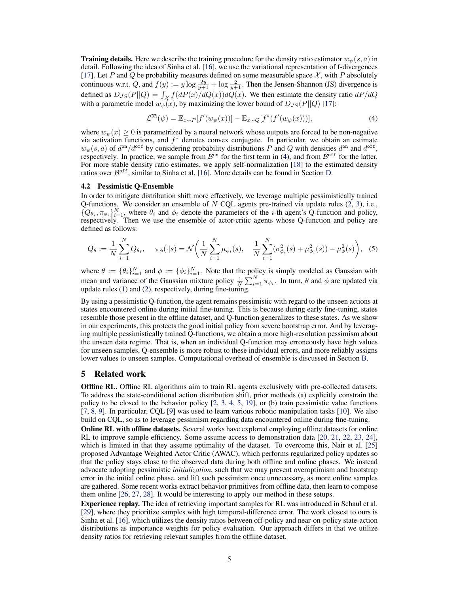**Training details.** Here we describe the training procedure for the density ratio estimator  $w_{\psi}(s, a)$  in detail. Following the idea of Sinha et al. [16], we use the variational representation of f-divergences [17]. Let P and Q be probability measures defined on some measurable space  $\mathcal{X}$ , with P absolutely continuous w.r.t. Q, and  $f(y) := y \log \frac{2y}{y+1} + \log \frac{2}{y+1}$ . Then the Jensen-Shannon (JS) divergence is defined as  $D_{JS}(P||Q) = \int_{\mathcal{X}} f(dP(x)/dQ(x))dQ(x)$ . We then estimate the density ratio  $dP/dQ$ with a parametric model  $w_{\psi}(x)$ , by maximizing the lower bound of  $D_{JS}(P||Q)$  [17]:

$$
\mathcal{L}^{\text{DR}}(\psi) = \mathbb{E}_{x \sim P}[f'(w_{\psi}(x))] - \mathbb{E}_{x \sim Q}[f^*(f'(w_{\psi}(x)))],
$$
\n(4)

where  $w_{\psi}(x) \ge 0$  is parametrized by a neural network whose outputs are forced to be non-negative via activation functions, and  $f^*$  denotes convex conjugate. In particular, we obtain an estimate  $w_{\psi}(s, a)$  of  $d^{\text{on}}/d^{\text{off}}$  by considering probability distributions P and Q with densities  $d^{\text{on}}$  and  $d^{\text{off}}$ , respectively. In practice, we sample from  $\mathcal{B}^{\text{on}}$  for the first term in (4), and from  $\mathcal{B}^{\text{off}}$  for the latter. For more stable density ratio estimates, we apply self-normalization [18] to the estimated density ratios over  $\mathcal{B}^{\text{off}}$ , similar to Sinha et al. [16]. More details can be found in Section D.

#### 4.2 Pessimistic Q-Ensemble

In order to mitigate distribution shift more effectively, we leverage multiple pessimistically trained Q-functions. We consider an ensemble of  $N$  CQL agents pre-trained via update rules (2, 3), i.e.,  $\{Q_{\theta_i}, \pi_{\phi_i}\}_{i=1}^N$ , where  $\theta_i$  and  $\phi_i$  denote the parameters of the *i*-th agent's Q-function and policy, respectively. Then we use the ensemble of actor-critic agents whose Q-function and policy are defined as follows:

$$
Q_{\theta} := \frac{1}{N} \sum_{i=1}^{N} Q_{\theta_i}, \quad \pi_{\phi}(\cdot | s) = \mathcal{N}\bigg(\frac{1}{N} \sum_{i=1}^{N} \mu_{\phi_i}(s), \quad \frac{1}{N} \sum_{i=1}^{N} (\sigma_{\phi_i}^2(s) + \mu_{\phi_i}^2(s)) - \mu_{\phi}^2(s)\bigg), \quad (5)
$$

where  $\theta := \{\theta_i\}_{i=1}^N$  and  $\phi := \{\phi_i\}_{i=1}^N$ . Note that the policy is simply modeled as Gaussian with mean and variance of the Gaussian mixture policy  $\frac{1}{N} \sum_{i=1}^{N} \pi_{\phi_i}$ . In turn,  $\theta$  and  $\phi$  are updated via update rules (1) and (2), respectively, during fine-tuning.

By using a pessimistic Q-function, the agent remains pessimistic with regard to the unseen actions at states encountered online during initial fine-tuning. This is because during early fine-tuning, states resemble those present in the offline dataset, and Q-function generalizes to these states. As we show in our experiments, this protects the good initial policy from severe bootstrap error. And by leveraging multiple pessimistically trained Q-functions, we obtain a more high-resolution pessimism about the unseen data regime. That is, when an individual Q-function may erroneously have high values for unseen samples, Q-ensemble is more robust to these individual errors, and more reliably assigns lower values to unseen samples. Computational overhead of ensemble is discussed in Section B.

## 5 Related work

Offline RL. Offline RL algorithms aim to train RL agents exclusively with pre-collected datasets. To address the state-conditional action distribution shift, prior methods (a) explicitly constrain the policy to be closed to the behavior policy [2, 3, 4, 5, 19], or (b) train pessimistic value functions [7, 8, 9]. In particular, CQL [9] was used to learn various robotic manipulation tasks [10]. We also build on CQL, so as to leverage pessimism regarding data encountered online during fine-tuning.

Online RL with offline datasets. Several works have explored employing offline datasets for online RL to improve sample efficiency. Some assume access to demonstration data [20, 21, 22, 23, 24], which is limited in that they assume optimality of the dataset. To overcome this, Nair et al. [25] proposed Advantage Weighted Actor Critic (AWAC), which performs regularized policy updates so that the policy stays close to the observed data during both offline and online phases. We instead advocate adopting pessimistic *initialization*, such that we may prevent overoptimism and bootstrap error in the initial online phase, and lift such pessimism once unnecessary, as more online samples are gathered. Some recent works extract behavior primitives from offline data, then learn to compose them online [26, 27, 28]. It would be interesting to apply our method in these setups.

Experience replay. The idea of retrieving important samples for RL was introduced in Schaul et al. [29], where they prioritize samples with high temporal-difference error. The work closest to ours is Sinha et al. [16], which utilizes the density ratios between off-policy and near-on-policy state-action distributions as importance weights for policy evaluation. Our approach differs in that we utilize density ratios for retrieving relevant samples from the offline dataset.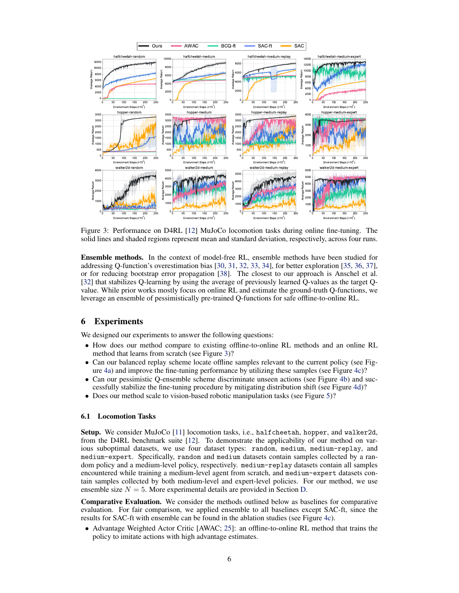

Figure 3: Performance on D4RL [12] MuJoCo locomotion tasks during online fine-tuning. The solid lines and shaded regions represent mean and standard deviation, respectively, across four runs.

Ensemble methods. In the context of model-free RL, ensemble methods have been studied for addressing Q-function's overestimation bias [30, 31, 32, 33, 34], for better exploration [35, 36, 37], or for reducing bootstrap error propagation [38]. The closest to our approach is Anschel et al. [32] that stabilizes Q-learning by using the average of previously learned Q-values as the target Qvalue. While prior works mostly focus on online RL and estimate the ground-truth Q-functions, we leverage an ensemble of pessimistically pre-trained Q-functions for safe offline-to-online RL.

## 6 Experiments

We designed our experiments to answer the following questions:

- How does our method compare to existing offline-to-online RL methods and an online RL method that learns from scratch (see Figure 3)?
- Can our balanced replay scheme locate offline samples relevant to the current policy (see Figure 4a) and improve the fine-tuning performance by utilizing these samples (see Figure 4c)?
- Can our pessimistic Q-ensemble scheme discriminate unseen actions (see Figure 4b) and successfully stabilize the fine-tuning procedure by mitigating distribution shift (see Figure 4d)?
- Does our method scale to vision-based robotic manipulation tasks (see Figure 5)?

#### 6.1 Locomotion Tasks

Setup. We consider MuJoCo [11] locomotion tasks, i.e., halfcheetah, hopper, and walker2d, from the D4RL benchmark suite [12]. To demonstrate the applicability of our method on various suboptimal datasets, we use four dataset types: random, medium, medium-replay, and medium-expert. Specifically, random and medium datasets contain samples collected by a random policy and a medium-level policy, respectively. medium-replay datasets contain all samples encountered while training a medium-level agent from scratch, and medium-expert datasets contain samples collected by both medium-level and expert-level policies. For our method, we use ensemble size  $N = 5$ . More experimental details are provided in Section D.

Comparative Evaluation. We consider the methods outlined below as baselines for comparative evaluation. For fair comparison, we applied ensemble to all baselines except SAC-ft, since the results for SAC-ft with ensemble can be found in the ablation studies (see Figure 4c).

• Advantage Weighted Actor Critic [AWAC; 25]: an offline-to-online RL method that trains the policy to imitate actions with high advantage estimates.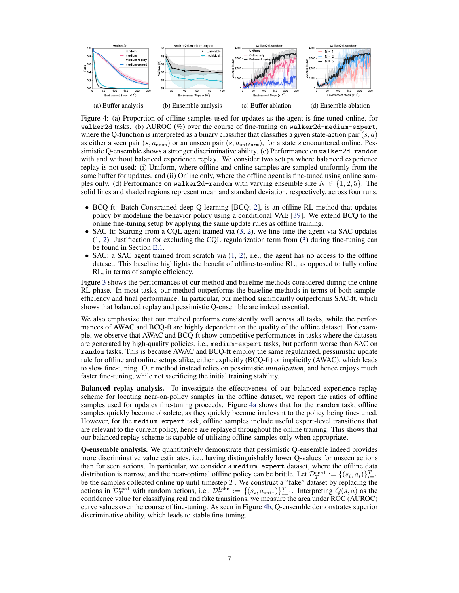

Figure 4: (a) Proportion of offline samples used for updates as the agent is fine-tuned online, for walker2d tasks. (b) AUROC  $(\%)$  over the course of fine-tuning on walker2d-medium-expert, where the Q-function is interpreted as a binary classifier that classifies a given state-action pair  $(s, a)$ as either a seen pair (s,  $a_{\text{seen}}$ ) or an unseen pair (s,  $a_{\text{uniform}}$ ), for a state s encountered online. Pessimistic Q-ensemble shows a stronger discriminative ability. (c) Performance on walker2d-random with and without balanced experience replay. We consider two setups where balanced experience replay is not used: (i) Uniform, where offline and online samples are sampled uniformly from the same buffer for updates, and (ii) Online only, where the offline agent is fine-tuned using online samples only. (d) Performance on walker2d-random with varying ensemble size  $N \in \{1,2,5\}$ . The solid lines and shaded regions represent mean and standard deviation, respectively, across four runs.

- BCQ-ft: Batch-Constrained deep Q-learning [BCQ; 2], is an offline RL method that updates policy by modeling the behavior policy using a conditional VAE [39]. We extend BCQ to the online fine-tuning setup by applying the same update rules as offline training.
- SAC-ft: Starting from a CQL agent trained via (3, 2), we fine-tune the agent via SAC updates (1, 2). Justification for excluding the CQL regularization term from (3) during fine-tuning can be found in Section E.1.
- SAC: a SAC agent trained from scratch via  $(1, 2)$ , i.e., the agent has no access to the offline dataset. This baseline highlights the benefit of offline-to-online RL, as opposed to fully online RL, in terms of sample efficiency.

Figure 3 shows the performances of our method and baseline methods considered during the online RL phase. In most tasks, our method outperforms the baseline methods in terms of both sampleefficiency and final performance. In particular, our method significantly outperforms SAC-ft, which shows that balanced replay and pessimistic Q-ensemble are indeed essential.

We also emphasize that our method performs consistently well across all tasks, while the performances of AWAC and BCQ-ft are highly dependent on the quality of the offline dataset. For example, we observe that AWAC and BCQ-ft show competitive performances in tasks where the datasets are generated by high-quality policies, i.e., medium-expert tasks, but perform worse than SAC on random tasks. This is because AWAC and BCQ-ft employ the same regularized, pessimistic update rule for offline and online setups alike, either explicitly (BCQ-ft) or implicitly (AWAC), which leads to slow fine-tuning. Our method instead relies on pessimistic *initialization*, and hence enjoys much faster fine-tuning, while not sacrificing the initial training stability.

Balanced replay analysis. To investigate the effectiveness of our balanced experience replay scheme for locating near-on-policy samples in the offline dataset, we report the ratios of offline samples used for updates fine-tuning proceeds. Figure 4a shows that for the random task, offline samples quickly become obsolete, as they quickly become irrelevant to the policy being fine-tuned. However, for the medium-expert task, offline samples include useful expert-level transitions that are relevant to the current policy, hence are replayed throughout the online training. This shows that our balanced replay scheme is capable of utilizing offline samples only when appropriate.

Q-ensemble analysis. We quantitatively demonstrate that pessimistic Q-ensemble indeed provides more discriminative value estimates, i.e., having distinguishably lower Q-values for unseen actions than for seen actions. In particular, we consider a medium-expert dataset, where the offline data distribution is narrow, and the near-optimal offline policy can be brittle. Let  $\mathcal{D}_T^{\text{real}} := \{(s_i, a_i)\}_{i=1}^T$ be the samples collected online up until timestep  $T$ . We construct a "fake" dataset by replacing the actions in  $\mathcal{D}_T^{\text{real}}$  with random actions, i.e.,  $\mathcal{D}_T^{\text{fake}} := \{(s_i, a_{\text{unif}})\}_{i=1}^T$ . Interpreting  $Q(s, a)$  as the confidence value for classifying real and fake transitions, we measure the area under ROC (AUROC) curve values over the course of fine-tuning. As seen in Figure 4b, Q-ensemble demonstrates superior discriminative ability, which leads to stable fine-tuning.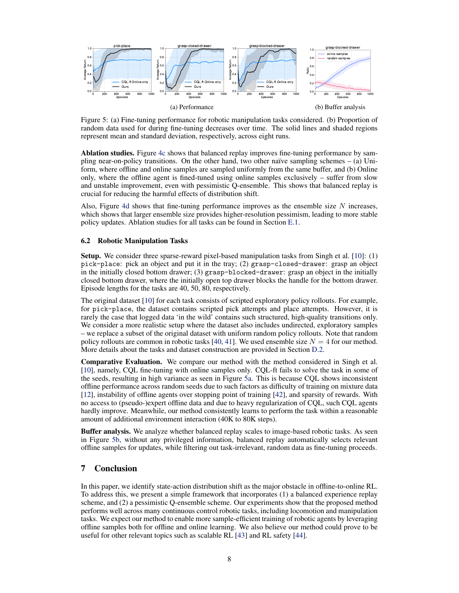

Figure 5: (a) Fine-tuning performance for robotic manipulation tasks considered. (b) Proportion of random data used for during fine-tuning decreases over time. The solid lines and shaded regions represent mean and standard deviation, respectively, across eight runs.

Ablation studies. Figure 4c shows that balanced replay improves fine-tuning performance by sampling near-on-policy transitions. On the other hand, two other naïve sampling schemes  $-$  (a) Uniform, where offline and online samples are sampled uniformly from the same buffer, and (b) Online only, where the offline agent is fined-tuned using online samples exclusively – suffer from slow and unstable improvement, even with pessimistic Q-ensemble. This shows that balanced replay is crucial for reducing the harmful effects of distribution shift.

Also, Figure 4d shows that fine-tuning performance improves as the ensemble size  $N$  increases, which shows that larger ensemble size provides higher-resolution pessimism, leading to more stable policy updates. Ablation studies for all tasks can be found in Section E.1.

#### 6.2 Robotic Manipulation Tasks

Setup. We consider three sparse-reward pixel-based manipulation tasks from Singh et al. [10]: (1) pick-place: pick an object and put it in the tray; (2) grasp-closed-drawer: grasp an object in the initially closed bottom drawer; (3) grasp-blocked-drawer: grasp an object in the initially closed bottom drawer, where the initially open top drawer blocks the handle for the bottom drawer. Episode lengths for the tasks are 40, 50, 80, respectively.

The original dataset [10] for each task consists of scripted exploratory policy rollouts. For example, for pick-place, the dataset contains scripted pick attempts and place attempts. However, it is rarely the case that logged data 'in the wild' contains such structured, high-quality transitions only. We consider a more realistic setup where the dataset also includes undirected, exploratory samples – we replace a subset of the original dataset with uniform random policy rollouts. Note that random policy rollouts are common in robotic tasks [40, 41]. We used ensemble size  $N = 4$  for our method. More details about the tasks and dataset construction are provided in Section D.2.

Comparative Evaluation. We compare our method with the method considered in Singh et al. [10], namely, CQL fine-tuning with online samples only. CQL-ft fails to solve the task in some of the seeds, resulting in high variance as seen in Figure 5a. This is because CQL shows inconsistent offline performance across random seeds due to such factors as difficulty of training on mixture data [12], instability of offline agents over stopping point of training [42], and sparsity of rewards. With no access to (pseudo-)expert offline data and due to heavy regularization of CQL, such CQL agents hardly improve. Meanwhile, our method consistently learns to perform the task within a reasonable amount of additional environment interaction (40K to 80K steps).

Buffer analysis. We analyze whether balanced replay scales to image-based robotic tasks. As seen in Figure 5b, without any privileged information, balanced replay automatically selects relevant offline samples for updates, while filtering out task-irrelevant, random data as fine-tuning proceeds.

# 7 Conclusion

In this paper, we identify state-action distribution shift as the major obstacle in offline-to-online RL. To address this, we present a simple framework that incorporates (1) a balanced experience replay scheme, and (2) a pessimistic Q-ensemble scheme. Our experiments show that the proposed method performs well across many continuous control robotic tasks, including locomotion and manipulation tasks. We expect our method to enable more sample-efficient training of robotic agents by leveraging offline samples both for offline and online learning. We also believe our method could prove to be useful for other relevant topics such as scalable RL [43] and RL safety [44].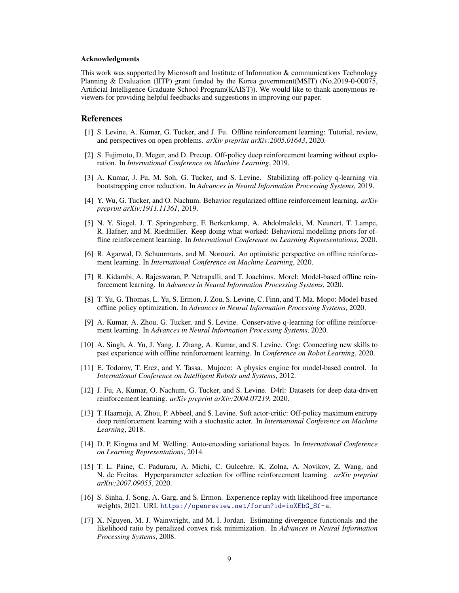#### Acknowledgments

This work was supported by Microsoft and Institute of Information & communications Technology Planning & Evaluation (IITP) grant funded by the Korea government(MSIT) (No.2019-0-00075, Artificial Intelligence Graduate School Program(KAIST)). We would like to thank anonymous reviewers for providing helpful feedbacks and suggestions in improving our paper.

### References

- [1] S. Levine, A. Kumar, G. Tucker, and J. Fu. Offline reinforcement learning: Tutorial, review, and perspectives on open problems. *arXiv preprint arXiv:2005.01643*, 2020.
- [2] S. Fujimoto, D. Meger, and D. Precup. Off-policy deep reinforcement learning without exploration. In *International Conference on Machine Learning*, 2019.
- [3] A. Kumar, J. Fu, M. Soh, G. Tucker, and S. Levine. Stabilizing off-policy q-learning via bootstrapping error reduction. In *Advances in Neural Information Processing Systems*, 2019.
- [4] Y. Wu, G. Tucker, and O. Nachum. Behavior regularized offline reinforcement learning. *arXiv preprint arXiv:1911.11361*, 2019.
- [5] N. Y. Siegel, J. T. Springenberg, F. Berkenkamp, A. Abdolmaleki, M. Neunert, T. Lampe, R. Hafner, and M. Riedmiller. Keep doing what worked: Behavioral modelling priors for offline reinforcement learning. In *International Conference on Learning Representations*, 2020.
- [6] R. Agarwal, D. Schuurmans, and M. Norouzi. An optimistic perspective on offline reinforcement learning. In *International Conference on Machine Learning*, 2020.
- [7] R. Kidambi, A. Rajeswaran, P. Netrapalli, and T. Joachims. Morel: Model-based offline reinforcement learning. In *Advances in Neural Information Processing Systems*, 2020.
- [8] T. Yu, G. Thomas, L. Yu, S. Ermon, J. Zou, S. Levine, C. Finn, and T. Ma. Mopo: Model-based offline policy optimization. In *Advances in Neural Information Processing Systems*, 2020.
- [9] A. Kumar, A. Zhou, G. Tucker, and S. Levine. Conservative q-learning for offline reinforcement learning. In *Advances in Neural Information Processing Systems*, 2020.
- [10] A. Singh, A. Yu, J. Yang, J. Zhang, A. Kumar, and S. Levine. Cog: Connecting new skills to past experience with offline reinforcement learning. In *Conference on Robot Learning*, 2020.
- [11] E. Todorov, T. Erez, and Y. Tassa. Mujoco: A physics engine for model-based control. In *International Conference on Intelligent Robots and Systems*, 2012.
- [12] J. Fu, A. Kumar, O. Nachum, G. Tucker, and S. Levine. D4rl: Datasets for deep data-driven reinforcement learning. *arXiv preprint arXiv:2004.07219*, 2020.
- [13] T. Haarnoja, A. Zhou, P. Abbeel, and S. Levine. Soft actor-critic: Off-policy maximum entropy deep reinforcement learning with a stochastic actor. In *International Conference on Machine Learning*, 2018.
- [14] D. P. Kingma and M. Welling. Auto-encoding variational bayes. In *International Conference on Learning Representations*, 2014.
- [15] T. L. Paine, C. Paduraru, A. Michi, C. Gulcehre, K. Zolna, A. Novikov, Z. Wang, and N. de Freitas. Hyperparameter selection for offline reinforcement learning. *arXiv preprint arXiv:2007.09055*, 2020.
- [16] S. Sinha, J. Song, A. Garg, and S. Ermon. Experience replay with likelihood-free importance weights, 2021. URL [https://openreview.net/forum?id=ioXEbG\\_Sf-a](https://openreview.net/forum?id=ioXEbG_Sf-a).
- [17] X. Nguyen, M. J. Wainwright, and M. I. Jordan. Estimating divergence functionals and the likelihood ratio by penalized convex risk minimization. In *Advances in Neural Information Processing Systems*, 2008.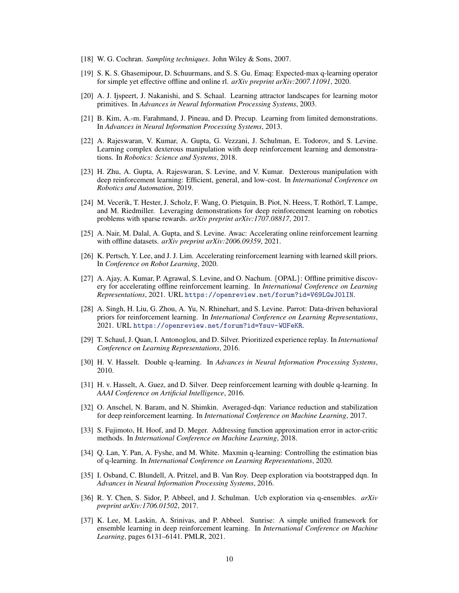- [18] W. G. Cochran. *Sampling techniques*. John Wiley & Sons, 2007.
- [19] S. K. S. Ghasemipour, D. Schuurmans, and S. S. Gu. Emaq: Expected-max q-learning operator for simple yet effective offline and online rl. *arXiv preprint arXiv:2007.11091*, 2020.
- [20] A. J. Ijspeert, J. Nakanishi, and S. Schaal. Learning attractor landscapes for learning motor primitives. In *Advances in Neural Information Processing Systems*, 2003.
- [21] B. Kim, A.-m. Farahmand, J. Pineau, and D. Precup. Learning from limited demonstrations. In *Advances in Neural Information Processing Systems*, 2013.
- [22] A. Rajeswaran, V. Kumar, A. Gupta, G. Vezzani, J. Schulman, E. Todorov, and S. Levine. Learning complex dexterous manipulation with deep reinforcement learning and demonstrations. In *Robotics: Science and Systems*, 2018.
- [23] H. Zhu, A. Gupta, A. Rajeswaran, S. Levine, and V. Kumar. Dexterous manipulation with deep reinforcement learning: Efficient, general, and low-cost. In *International Conference on Robotics and Automation*, 2019.
- [24] M. Vecerik, T. Hester, J. Scholz, F. Wang, O. Pietquin, B. Piot, N. Heess, T. Rothörl, T. Lampe, and M. Riedmiller. Leveraging demonstrations for deep reinforcement learning on robotics problems with sparse rewards. *arXiv preprint arXiv:1707.08817*, 2017.
- [25] A. Nair, M. Dalal, A. Gupta, and S. Levine. Awac: Accelerating online reinforcement learning with offline datasets. *arXiv preprint arXiv:2006.09359*, 2021.
- [26] K. Pertsch, Y. Lee, and J. J. Lim. Accelerating reinforcement learning with learned skill priors. In *Conference on Robot Learning*, 2020.
- [27] A. Ajay, A. Kumar, P. Agrawal, S. Levine, and O. Nachum. {OPAL}: Offline primitive discovery for accelerating offline reinforcement learning. In *International Conference on Learning Representations*, 2021. URL <https://openreview.net/forum?id=V69LGwJ0lIN>.
- [28] A. Singh, H. Liu, G. Zhou, A. Yu, N. Rhinehart, and S. Levine. Parrot: Data-driven behavioral priors for reinforcement learning. In *International Conference on Learning Representations*, 2021. URL <https://openreview.net/forum?id=Ysuv-WOFeKR>.
- [29] T. Schaul, J. Quan, I. Antonoglou, and D. Silver. Prioritized experience replay. In *International Conference on Learning Representations*, 2016.
- [30] H. V. Hasselt. Double q-learning. In *Advances in Neural Information Processing Systems*, 2010.
- [31] H. v. Hasselt, A. Guez, and D. Silver. Deep reinforcement learning with double q-learning. In *AAAI Conference on Artificial Intelligence*, 2016.
- [32] O. Anschel, N. Baram, and N. Shimkin. Averaged-dqn: Variance reduction and stabilization for deep reinforcement learning. In *International Conference on Machine Learning*, 2017.
- [33] S. Fujimoto, H. Hoof, and D. Meger. Addressing function approximation error in actor-critic methods. In *International Conference on Machine Learning*, 2018.
- [34] Q. Lan, Y. Pan, A. Fyshe, and M. White. Maxmin q-learning: Controlling the estimation bias of q-learning. In *International Conference on Learning Representations*, 2020.
- [35] I. Osband, C. Blundell, A. Pritzel, and B. Van Roy. Deep exploration via bootstrapped dqn. In *Advances in Neural Information Processing Systems*, 2016.
- [36] R. Y. Chen, S. Sidor, P. Abbeel, and J. Schulman. Ucb exploration via q-ensembles. *arXiv preprint arXiv:1706.01502*, 2017.
- [37] K. Lee, M. Laskin, A. Srinivas, and P. Abbeel. Sunrise: A simple unified framework for ensemble learning in deep reinforcement learning. In *International Conference on Machine Learning*, pages 6131–6141. PMLR, 2021.